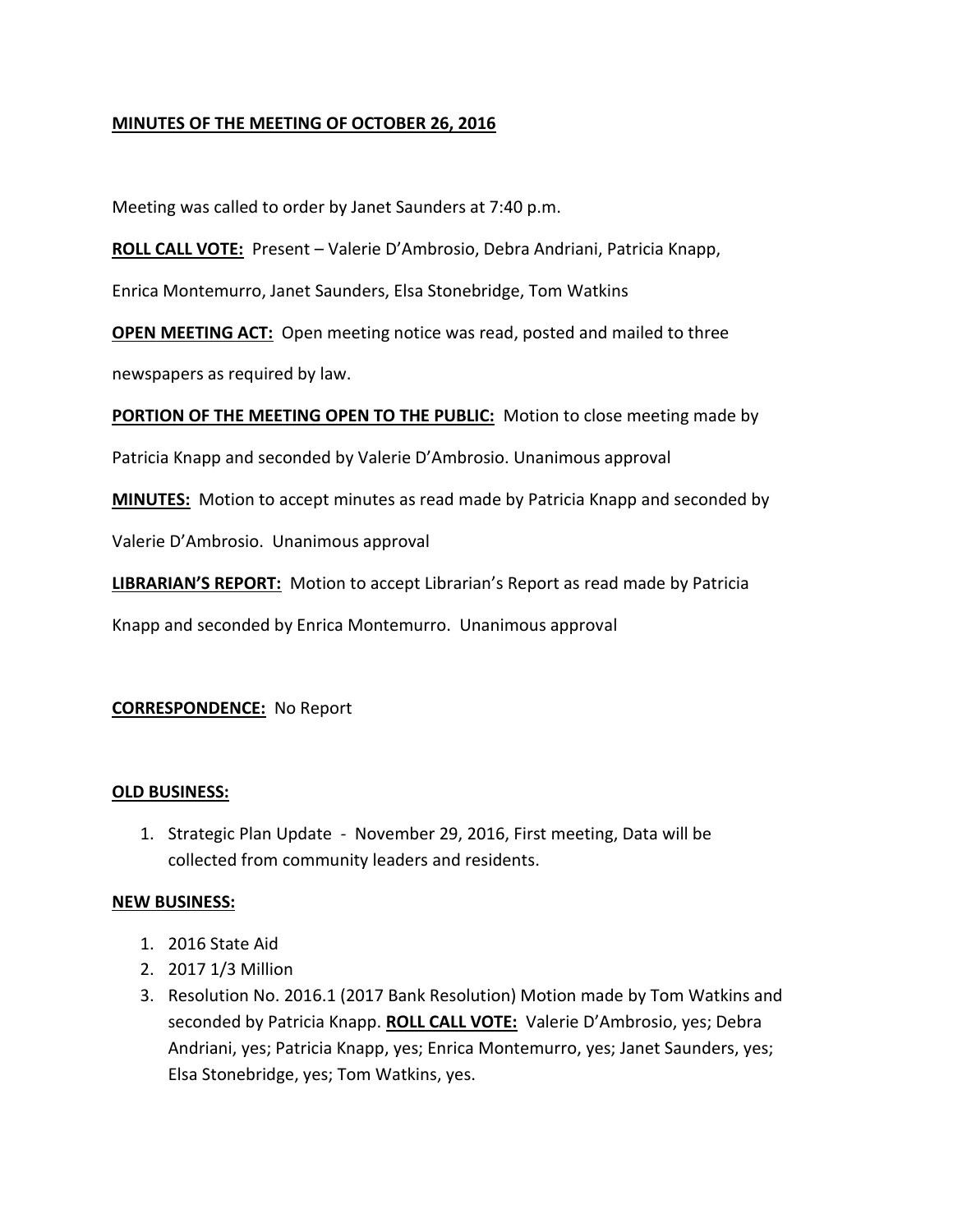### **MINUTES OF THE MEETING OF OCTOBER 26, 2016**

Meeting was called to order by Janet Saunders at 7:40 p.m.

**ROLL CALL VOTE:** Present – Valerie D'Ambrosio, Debra Andriani, Patricia Knapp,

Enrica Montemurro, Janet Saunders, Elsa Stonebridge, Tom Watkins

**OPEN MEETING ACT:** Open meeting notice was read, posted and mailed to three newspapers as required by law.

**PORTION OF THE MEETING OPEN TO THE PUBLIC:** Motion to close meeting made by

Patricia Knapp and seconded by Valerie D'Ambrosio. Unanimous approval

**MINUTES:** Motion to accept minutes as read made by Patricia Knapp and seconded by

Valerie D'Ambrosio. Unanimous approval

**LIBRARIAN'S REPORT:** Motion to accept Librarian's Report as read made by Patricia

Knapp and seconded by Enrica Montemurro. Unanimous approval

#### **CORRESPONDENCE:** No Report

#### **OLD BUSINESS:**

1. Strategic Plan Update - November 29, 2016, First meeting, Data will be collected from community leaders and residents.

#### **NEW BUSINESS:**

- 1. 2016 State Aid
- 2. 2017 1/3 Million
- 3. Resolution No. 2016.1 (2017 Bank Resolution) Motion made by Tom Watkins and seconded by Patricia Knapp. **ROLL CALL VOTE:** Valerie D'Ambrosio, yes; Debra Andriani, yes; Patricia Knapp, yes; Enrica Montemurro, yes; Janet Saunders, yes; Elsa Stonebridge, yes; Tom Watkins, yes.